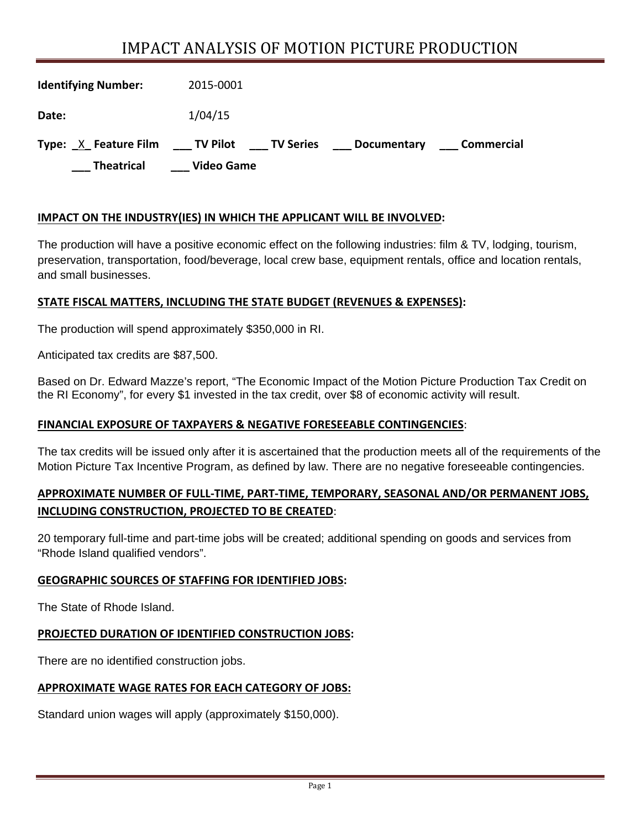# IMPACT ANALYSIS OF MOTION PICTURE PRODUCTION

| <b>Identifying Number:</b> | 2015-0001                                                           |
|----------------------------|---------------------------------------------------------------------|
| Date:                      | 1/04/15                                                             |
| Type: X Feature Film       | ____ TV Pilot<br>____ TV Series<br>Commercial<br><b>Documentary</b> |
| <b>Theatrical</b>          | <b>Video Game</b>                                                   |

## **IMPACT ON THE INDUSTRY(IES) IN WHICH THE APPLICANT WILL BE INVOLVED:**

The production will have a positive economic effect on the following industries: film & TV, lodging, tourism, preservation, transportation, food/beverage, local crew base, equipment rentals, office and location rentals, and small businesses.

## **STATE FISCAL MATTERS, INCLUDING THE STATE BUDGET (REVENUES & EXPENSES):**

The production will spend approximately \$350,000 in RI.

Anticipated tax credits are \$87,500.

Based on Dr. Edward Mazze's report, "The Economic Impact of the Motion Picture Production Tax Credit on the RI Economy", for every \$1 invested in the tax credit, over \$8 of economic activity will result.

#### **FINANCIAL EXPOSURE OF TAXPAYERS & NEGATIVE FORESEEABLE CONTINGENCIES**:

The tax credits will be issued only after it is ascertained that the production meets all of the requirements of the Motion Picture Tax Incentive Program, as defined by law. There are no negative foreseeable contingencies.

# **APPROXIMATE NUMBER OF FULL‐TIME, PART‐TIME, TEMPORARY, SEASONAL AND/OR PERMANENT JOBS, INCLUDING CONSTRUCTION, PROJECTED TO BE CREATED**:

20 temporary full-time and part-time jobs will be created; additional spending on goods and services from "Rhode Island qualified vendors".

#### **GEOGRAPHIC SOURCES OF STAFFING FOR IDENTIFIED JOBS:**

The State of Rhode Island.

## **PROJECTED DURATION OF IDENTIFIED CONSTRUCTION JOBS:**

There are no identified construction jobs.

#### **APPROXIMATE WAGE RATES FOR EACH CATEGORY OF JOBS:**

Standard union wages will apply (approximately \$150,000).